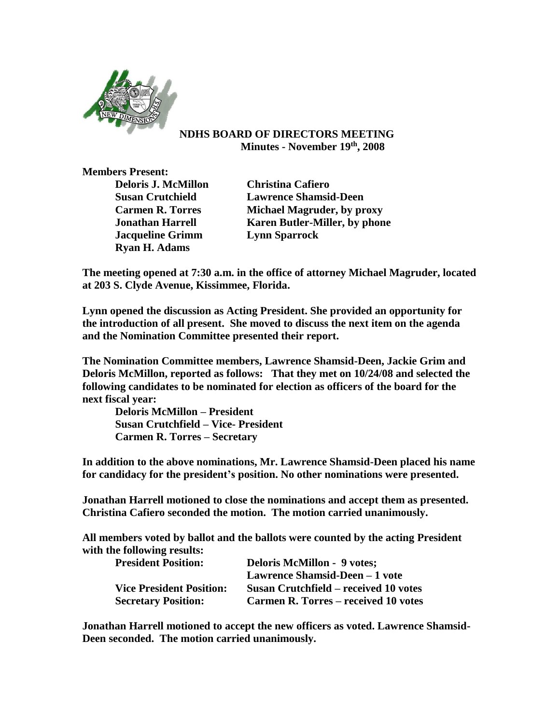

## **NDHS BOARD OF DIRECTORS MEETING Minutes - November 19th, 2008**

**Members Present:**

**Deloris J. McMillon Christina Cafiero Jacqueline Grimm Lynn Sparrock Ryan H. Adams**

**Susan Crutchield Lawrence Shamsid-Deen Carmen R. Torres Michael Magruder, by proxy Jonathan Harrell Karen Butler-Miller, by phone**

**The meeting opened at 7:30 a.m. in the office of attorney Michael Magruder, located at 203 S. Clyde Avenue, Kissimmee, Florida.** 

**Lynn opened the discussion as Acting President. She provided an opportunity for the introduction of all present. She moved to discuss the next item on the agenda and the Nomination Committee presented their report.**

**The Nomination Committee members, Lawrence Shamsid-Deen, Jackie Grim and Deloris McMillon, reported as follows: That they met on 10/24/08 and selected the following candidates to be nominated for election as officers of the board for the next fiscal year:**

**Deloris McMillon – President Susan Crutchfield – Vice- President Carmen R. Torres – Secretary**

**In addition to the above nominations, Mr. Lawrence Shamsid-Deen placed his name for candidacy for the president's position. No other nominations were presented.**

**Jonathan Harrell motioned to close the nominations and accept them as presented. Christina Cafiero seconded the motion. The motion carried unanimously.**

**All members voted by ballot and the ballots were counted by the acting President with the following results:**

| <b>President Position:</b>      | <b>Deloris McMillon - 9 votes;</b>    |  |
|---------------------------------|---------------------------------------|--|
|                                 | Lawrence Shamsid-Deen – 1 vote        |  |
| <b>Vice President Position:</b> | Susan Crutchfield – received 10 votes |  |
| <b>Secretary Position:</b>      | Carmen R. Torres – received 10 votes  |  |

**Jonathan Harrell motioned to accept the new officers as voted. Lawrence Shamsid-Deen seconded. The motion carried unanimously.**